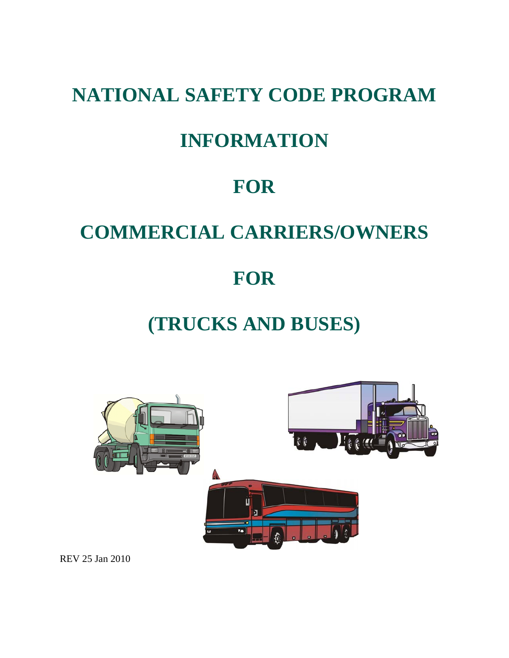# **NATIONAL SAFETY CODE PROGRAM**

# **INFORMATION**

# **FOR**

# **COMMERCIAL CARRIERS/OWNERS**

# **FOR**

# **(TRUCKS AND BUSES)**



REV 25 Jan 2010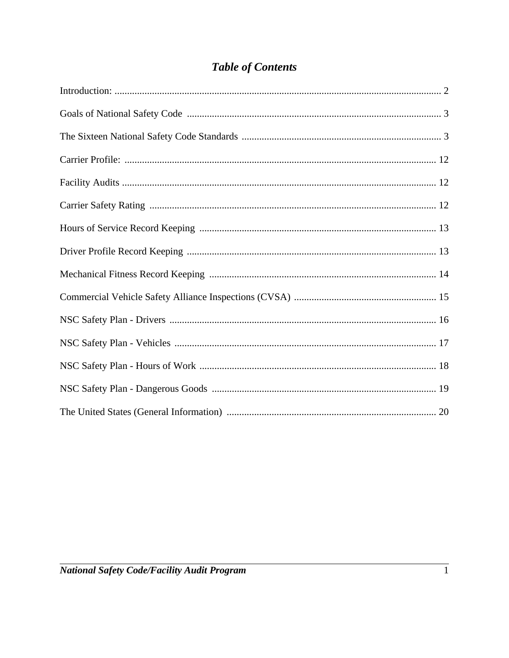### **Table of Contents**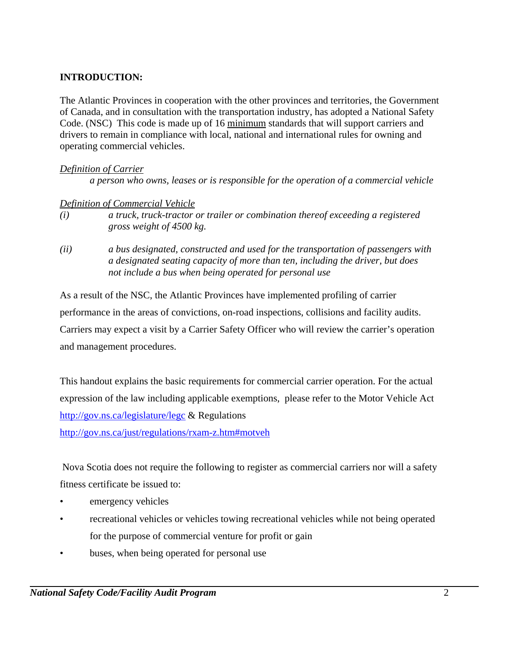#### **INTRODUCTION:**

The Atlantic Provinces in cooperation with the other provinces and territories, the Government of Canada, and in consultation with the transportation industry, has adopted a National Safety Code. (NSC) This code is made up of 16 minimum standards that will support carriers and drivers to remain in compliance with local, national and international rules for owning and operating commercial vehicles.

#### *Definition of Carrier*

*a person who owns, leases or is responsible for the operation of a commercial vehicle*

#### *Definition of Commercial Vehicle*

- *(i) a truck, truck-tractor or trailer or combination thereof exceeding a registered gross weight of 4500 kg.*
- *(ii) a bus designated, constructed and used for the transportation of passengers with a designated seating capacity of more than ten, including the driver, but does not include a bus when being operated for personal use*

As a result of the NSC, the Atlantic Provinces have implemented profiling of carrier performance in the areas of convictions, on-road inspections, collisions and facility audits. Carriers may expect a visit by a Carrier Safety Officer who will review the carrier's operation and management procedures.

This handout explains the basic requirements for commercial carrier operation. For the actual expression of the law including applicable exemptions, please refer to the Motor Vehicle Act http://gov.ns.ca/legislature/legc & Regulations

http://gov.ns.ca/just/regulations/rxam-z.htm#motveh

 Nova Scotia does not require the following to register as commercial carriers nor will a safety fitness certificate be issued to:

- emergency vehicles
- recreational vehicles or vehicles towing recreational vehicles while not being operated for the purpose of commercial venture for profit or gain
- buses, when being operated for personal use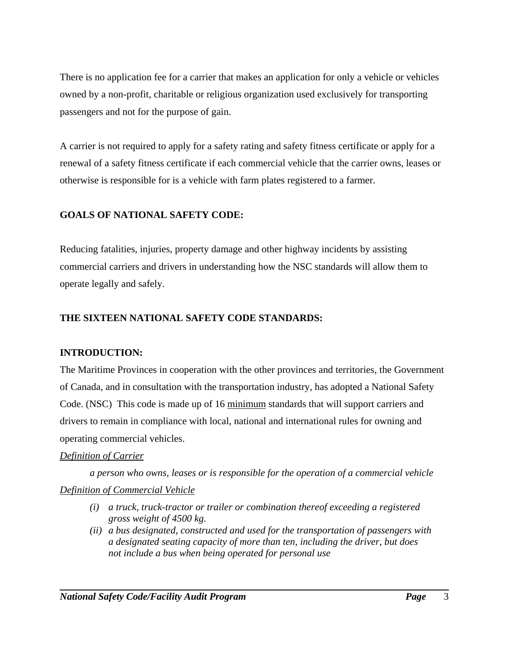There is no application fee for a carrier that makes an application for only a vehicle or vehicles owned by a non-profit, charitable or religious organization used exclusively for transporting passengers and not for the purpose of gain.

A carrier is not required to apply for a safety rating and safety fitness certificate or apply for a renewal of a safety fitness certificate if each commercial vehicle that the carrier owns, leases or otherwise is responsible for is a vehicle with farm plates registered to a farmer.

### **GOALS OF NATIONAL SAFETY CODE:**

Reducing fatalities, injuries, property damage and other highway incidents by assisting commercial carriers and drivers in understanding how the NSC standards will allow them to operate legally and safely.

### **THE SIXTEEN NATIONAL SAFETY CODE STANDARDS:**

#### **INTRODUCTION:**

The Maritime Provinces in cooperation with the other provinces and territories, the Government of Canada, and in consultation with the transportation industry, has adopted a National Safety Code. (NSC) This code is made up of 16 minimum standards that will support carriers and drivers to remain in compliance with local, national and international rules for owning and operating commercial vehicles.

#### *Definition of Carrier*

*a person who owns, leases or is responsible for the operation of a commercial vehicle Definition of Commercial Vehicle*

- *(i) a truck, truck-tractor or trailer or combination thereof exceeding a registered gross weight of 4500 kg.*
- *(ii) a bus designated, constructed and used for the transportation of passengers with a designated seating capacity of more than ten, including the driver, but does not include a bus when being operated for personal use*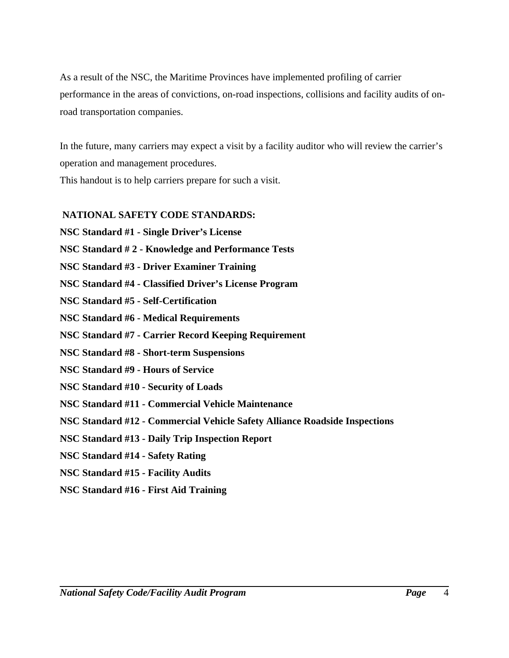As a result of the NSC, the Maritime Provinces have implemented profiling of carrier performance in the areas of convictions, on-road inspections, collisions and facility audits of onroad transportation companies.

In the future, many carriers may expect a visit by a facility auditor who will review the carrier's operation and management procedures. This handout is to help carriers prepare for such a visit.

#### **NATIONAL SAFETY CODE STANDARDS:**

**NSC Standard #1 - Single Driver's License**

**NSC Standard # 2 - Knowledge and Performance Tests**

**NSC Standard #3 - Driver Examiner Training**

**NSC Standard #4 - Classified Driver's License Program**

**NSC Standard #5 - Self-Certification**

**NSC Standard #6 - Medical Requirements**

**NSC Standard #7 - Carrier Record Keeping Requirement**

**NSC Standard #8 - Short-term Suspensions**

**NSC Standard #9 - Hours of Service**

**NSC Standard #10 - Security of Loads**

**NSC Standard #11 - Commercial Vehicle Maintenance**

**NSC Standard #12 - Commercial Vehicle Safety Alliance Roadside Inspections**

**NSC Standard #13 - Daily Trip Inspection Report**

**NSC Standard #14 - Safety Rating**

**NSC Standard #15 - Facility Audits**

**NSC Standard #16 - First Aid Training**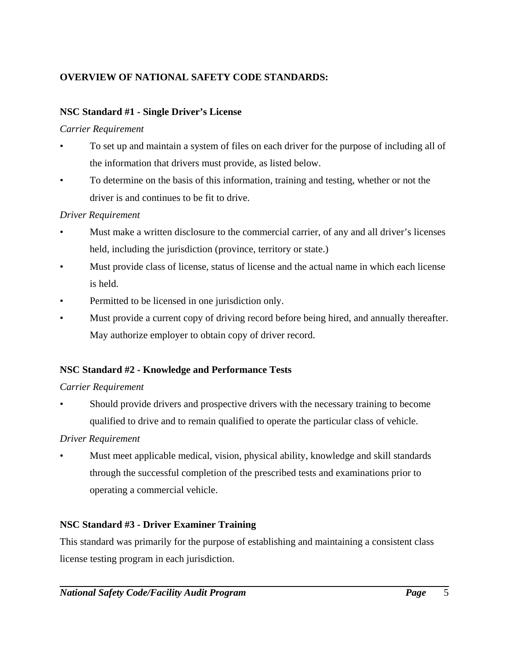### **OVERVIEW OF NATIONAL SAFETY CODE STANDARDS:**

#### **NSC Standard #1 - Single Driver's License**

#### *Carrier Requirement*

- To set up and maintain a system of files on each driver for the purpose of including all of the information that drivers must provide, as listed below.
- To determine on the basis of this information, training and testing, whether or not the driver is and continues to be fit to drive.

#### *Driver Requirement*

- Must make a written disclosure to the commercial carrier, of any and all driver's licenses held, including the jurisdiction (province, territory or state.)
- Must provide class of license, status of license and the actual name in which each license is held.
- Permitted to be licensed in one jurisdiction only.
- Must provide a current copy of driving record before being hired, and annually thereafter. May authorize employer to obtain copy of driver record.

#### **NSC Standard #2 - Knowledge and Performance Tests**

#### *Carrier Requirement*

• Should provide drivers and prospective drivers with the necessary training to become qualified to drive and to remain qualified to operate the particular class of vehicle.

#### *Driver Requirement*

• Must meet applicable medical, vision, physical ability, knowledge and skill standards through the successful completion of the prescribed tests and examinations prior to operating a commercial vehicle.

#### **NSC Standard #3 - Driver Examiner Training**

This standard was primarily for the purpose of establishing and maintaining a consistent class license testing program in each jurisdiction.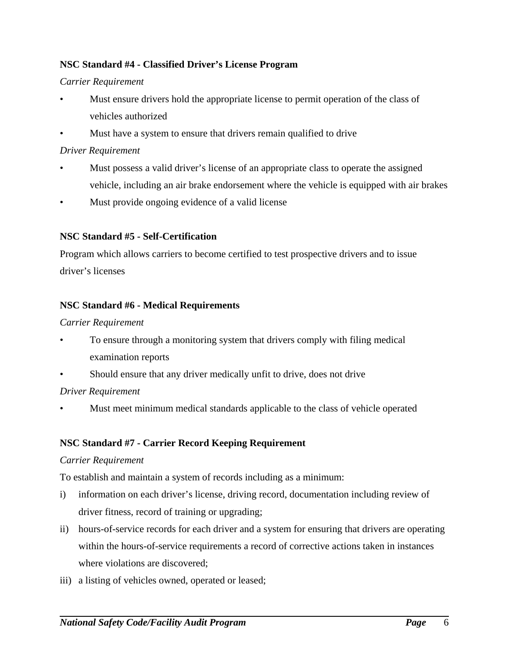#### **NSC Standard #4 - Classified Driver's License Program**

#### *Carrier Requirement*

- Must ensure drivers hold the appropriate license to permit operation of the class of vehicles authorized
- Must have a system to ensure that drivers remain qualified to drive

#### *Driver Requirement*

- Must possess a valid driver's license of an appropriate class to operate the assigned vehicle, including an air brake endorsement where the vehicle is equipped with air brakes
- Must provide ongoing evidence of a valid license

#### **NSC Standard #5 - Self-Certification**

Program which allows carriers to become certified to test prospective drivers and to issue driver's licenses

#### **NSC Standard #6 - Medical Requirements**

#### *Carrier Requirement*

- To ensure through a monitoring system that drivers comply with filing medical examination reports
- Should ensure that any driver medically unfit to drive, does not drive

#### *Driver Requirement*

Must meet minimum medical standards applicable to the class of vehicle operated

#### **NSC Standard #7 - Carrier Record Keeping Requirement**

#### *Carrier Requirement*

To establish and maintain a system of records including as a minimum:

- i) information on each driver's license, driving record, documentation including review of driver fitness, record of training or upgrading;
- ii) hours-of-service records for each driver and a system for ensuring that drivers are operating within the hours-of-service requirements a record of corrective actions taken in instances where violations are discovered;
- iii) a listing of vehicles owned, operated or leased;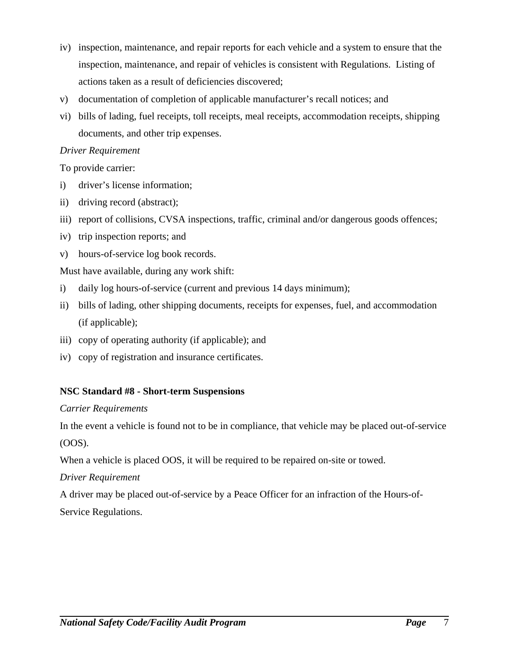- iv) inspection, maintenance, and repair reports for each vehicle and a system to ensure that the inspection, maintenance, and repair of vehicles is consistent with Regulations. Listing of actions taken as a result of deficiencies discovered;
- v) documentation of completion of applicable manufacturer's recall notices; and
- vi) bills of lading, fuel receipts, toll receipts, meal receipts, accommodation receipts, shipping documents, and other trip expenses.

#### *Driver Requirement*

To provide carrier:

- i) driver's license information;
- ii) driving record (abstract);
- iii) report of collisions, CVSA inspections, traffic, criminal and/or dangerous goods offences;
- iv) trip inspection reports; and
- v) hours-of-service log book records.

Must have available, during any work shift:

- i) daily log hours-of-service (current and previous 14 days minimum);
- ii) bills of lading, other shipping documents, receipts for expenses, fuel, and accommodation (if applicable);
- iii) copy of operating authority (if applicable); and
- iv) copy of registration and insurance certificates.

#### **NSC Standard #8 - Short-term Suspensions**

#### *Carrier Requirements*

In the event a vehicle is found not to be in compliance, that vehicle may be placed out-of-service (OOS).

When a vehicle is placed OOS, it will be required to be repaired on-site or towed.

#### *Driver Requirement*

A driver may be placed out-of-service by a Peace Officer for an infraction of the Hours-of-

Service Regulations.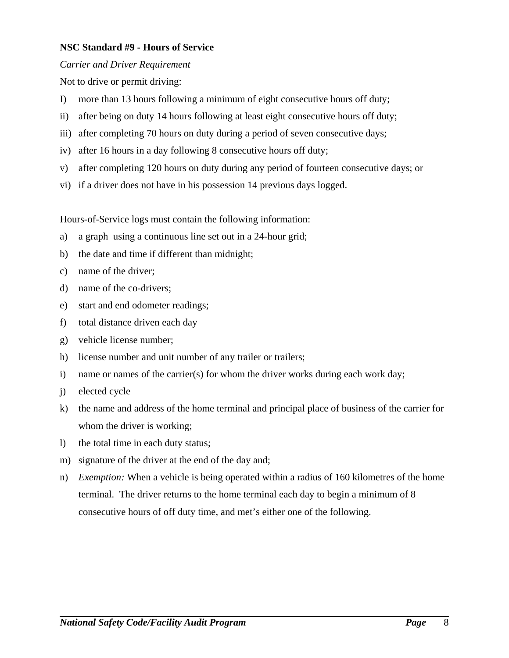#### **NSC Standard #9 - Hours of Service**

#### *Carrier and Driver Requirement*

Not to drive or permit driving:

- I) more than 13 hours following a minimum of eight consecutive hours off duty;
- ii) after being on duty 14 hours following at least eight consecutive hours off duty;
- iii) after completing 70 hours on duty during a period of seven consecutive days;
- iv) after 16 hours in a day following 8 consecutive hours off duty;
- v) after completing 120 hours on duty during any period of fourteen consecutive days; or
- vi) if a driver does not have in his possession 14 previous days logged.

Hours-of-Service logs must contain the following information:

- a) a graph using a continuous line set out in a 24-hour grid;
- b) the date and time if different than midnight;
- c) name of the driver;
- d) name of the co-drivers;
- e) start and end odometer readings;
- f) total distance driven each day
- g) vehicle license number;
- h) license number and unit number of any trailer or trailers;
- i) name or names of the carrier(s) for whom the driver works during each work day;
- j) elected cycle
- k) the name and address of the home terminal and principal place of business of the carrier for whom the driver is working;
- l) the total time in each duty status;
- m) signature of the driver at the end of the day and;
- n) *Exemption:* When a vehicle is being operated within a radius of 160 kilometres of the home terminal. The driver returns to the home terminal each day to begin a minimum of 8 consecutive hours of off duty time, and met's either one of the following.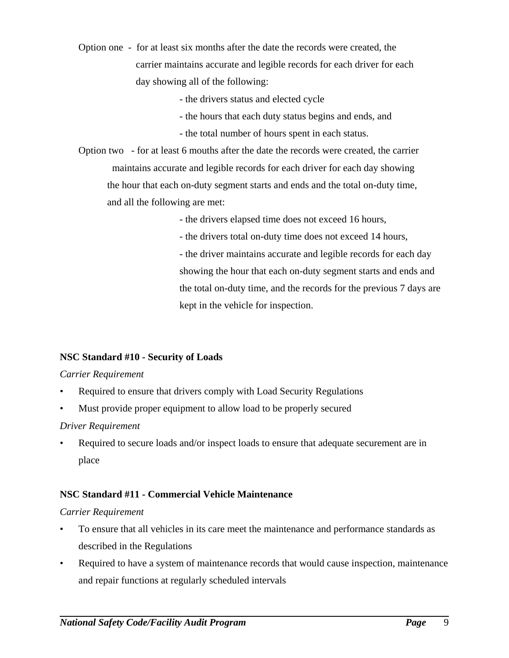- Option one for at least six months after the date the records were created, the carrier maintains accurate and legible records for each driver for each day showing all of the following:
	- the drivers status and elected cycle
	- the hours that each duty status begins and ends, and
	- the total number of hours spent in each status.
- Option two for at least 6 mouths after the date the records were created, the carrier maintains accurate and legible records for each driver for each day showing the hour that each on-duty segment starts and ends and the total on-duty time, and all the following are met:
	- the drivers elapsed time does not exceed 16 hours,
	- the drivers total on-duty time does not exceed 14 hours,

- the driver maintains accurate and legible records for each day showing the hour that each on-duty segment starts and ends and the total on-duty time, and the records for the previous 7 days are kept in the vehicle for inspection.

#### **NSC Standard #10 - Security of Loads**

#### *Carrier Requirement*

- Required to ensure that drivers comply with Load Security Regulations
- Must provide proper equipment to allow load to be properly secured

#### *Driver Requirement*

Required to secure loads and/or inspect loads to ensure that adequate securement are in place

#### **NSC Standard #11 - Commercial Vehicle Maintenance**

#### *Carrier Requirement*

- To ensure that all vehicles in its care meet the maintenance and performance standards as described in the Regulations
- Required to have a system of maintenance records that would cause inspection, maintenance and repair functions at regularly scheduled intervals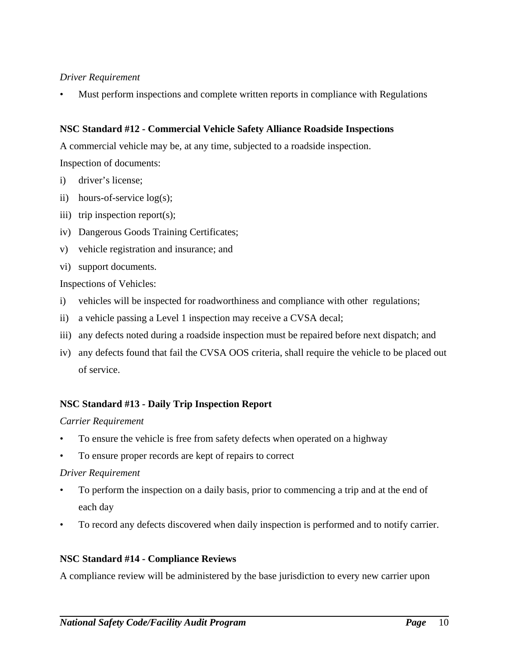#### *Driver Requirement*

• Must perform inspections and complete written reports in compliance with Regulations

#### **NSC Standard #12 - Commercial Vehicle Safety Alliance Roadside Inspections**

A commercial vehicle may be, at any time, subjected to a roadside inspection.

Inspection of documents:

- i) driver's license;
- ii) hours-of-service log(s);
- iii) trip inspection report(s);
- iv) Dangerous Goods Training Certificates;
- v) vehicle registration and insurance; and
- vi) support documents.

Inspections of Vehicles:

- i) vehicles will be inspected for roadworthiness and compliance with other regulations;
- ii) a vehicle passing a Level 1 inspection may receive a CVSA decal;
- iii) any defects noted during a roadside inspection must be repaired before next dispatch; and
- iv) any defects found that fail the CVSA OOS criteria, shall require the vehicle to be placed out of service.

#### **NSC Standard #13 - Daily Trip Inspection Report**

#### *Carrier Requirement*

- To ensure the vehicle is free from safety defects when operated on a highway
- To ensure proper records are kept of repairs to correct

#### *Driver Requirement*

- To perform the inspection on a daily basis, prior to commencing a trip and at the end of each day
- To record any defects discovered when daily inspection is performed and to notify carrier.

#### **NSC Standard #14 - Compliance Reviews**

A compliance review will be administered by the base jurisdiction to every new carrier upon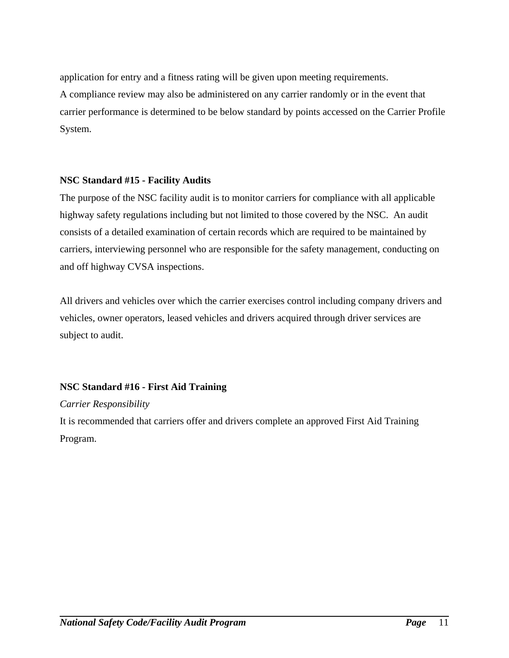application for entry and a fitness rating will be given upon meeting requirements. A compliance review may also be administered on any carrier randomly or in the event that carrier performance is determined to be below standard by points accessed on the Carrier Profile System.

#### **NSC Standard #15 - Facility Audits**

The purpose of the NSC facility audit is to monitor carriers for compliance with all applicable highway safety regulations including but not limited to those covered by the NSC. An audit consists of a detailed examination of certain records which are required to be maintained by carriers, interviewing personnel who are responsible for the safety management, conducting on and off highway CVSA inspections.

All drivers and vehicles over which the carrier exercises control including company drivers and vehicles, owner operators, leased vehicles and drivers acquired through driver services are subject to audit.

#### **NSC Standard #16 - First Aid Training**

#### *Carrier Responsibility*

It is recommended that carriers offer and drivers complete an approved First Aid Training Program.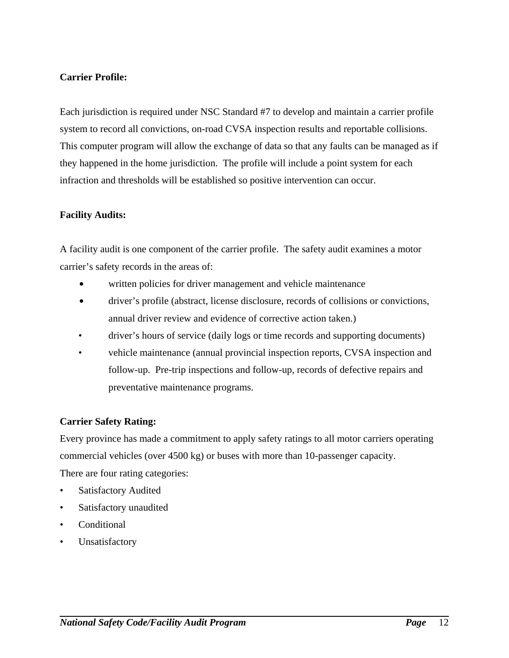#### **Carrier Profile:**

Each jurisdiction is required under NSC Standard #7 to develop and maintain a carrier profile system to record all convictions, on-road CVSA inspection results and reportable collisions. This computer program will allow the exchange of data so that any faults can be managed as if they happened in the home jurisdiction. The profile will include a point system for each infraction and thresholds will be established so positive intervention can occur.

#### **Facility Audits:**

A facility audit is one component of the carrier profile. The safety audit examines a motor carrier's safety records in the areas of:

- written policies for driver management and vehicle maintenance
- driver's profile (abstract, license disclosure, records of collisions or convictions, annual driver review and evidence of corrective action taken.)
- driver's hours of service (daily logs or time records and supporting documents)
- vehicle maintenance (annual provincial inspection reports, CVSA inspection and follow-up. Pre-trip inspections and follow-up, records of defective repairs and preventative maintenance programs.

#### **Carrier Safety Rating:**

Every province has made a commitment to apply safety ratings to all motor carriers operating commercial vehicles (over 4500 kg) or buses with more than 10-passenger capacity. There are four rating categories:

- Satisfactory Audited
- Satisfactory unaudited
- Conditional
- Unsatisfactory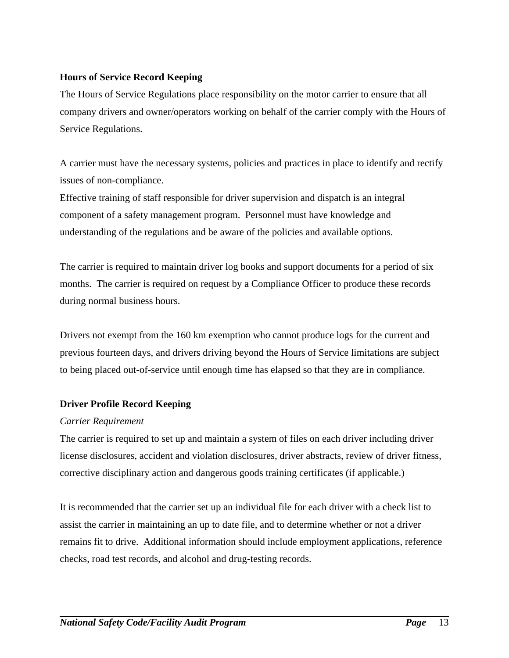#### **Hours of Service Record Keeping**

The Hours of Service Regulations place responsibility on the motor carrier to ensure that all company drivers and owner/operators working on behalf of the carrier comply with the Hours of Service Regulations.

A carrier must have the necessary systems, policies and practices in place to identify and rectify issues of non-compliance.

Effective training of staff responsible for driver supervision and dispatch is an integral component of a safety management program. Personnel must have knowledge and understanding of the regulations and be aware of the policies and available options.

The carrier is required to maintain driver log books and support documents for a period of six months. The carrier is required on request by a Compliance Officer to produce these records during normal business hours.

Drivers not exempt from the 160 km exemption who cannot produce logs for the current and previous fourteen days, and drivers driving beyond the Hours of Service limitations are subject to being placed out-of-service until enough time has elapsed so that they are in compliance.

#### **Driver Profile Record Keeping**

#### *Carrier Requirement*

The carrier is required to set up and maintain a system of files on each driver including driver license disclosures, accident and violation disclosures, driver abstracts, review of driver fitness, corrective disciplinary action and dangerous goods training certificates (if applicable.)

It is recommended that the carrier set up an individual file for each driver with a check list to assist the carrier in maintaining an up to date file, and to determine whether or not a driver remains fit to drive. Additional information should include employment applications, reference checks, road test records, and alcohol and drug-testing records.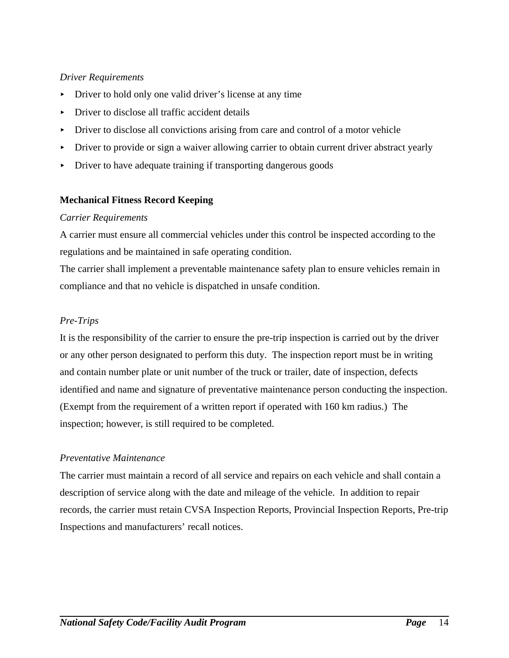#### *Driver Requirements*

- Driver to hold only one valid driver's license at any time
- $\triangleright$  Driver to disclose all traffic accident details
- $\triangleright$  Driver to disclose all convictions arising from care and control of a motor vehicle
- Driver to provide or sign a waiver allowing carrier to obtain current driver abstract yearly
- $\triangleright$  Driver to have adequate training if transporting dangerous goods

#### **Mechanical Fitness Record Keeping**

#### *Carrier Requirements*

A carrier must ensure all commercial vehicles under this control be inspected according to the regulations and be maintained in safe operating condition.

The carrier shall implement a preventable maintenance safety plan to ensure vehicles remain in compliance and that no vehicle is dispatched in unsafe condition.

#### *Pre-Trips*

It is the responsibility of the carrier to ensure the pre-trip inspection is carried out by the driver or any other person designated to perform this duty. The inspection report must be in writing and contain number plate or unit number of the truck or trailer, date of inspection, defects identified and name and signature of preventative maintenance person conducting the inspection. (Exempt from the requirement of a written report if operated with 160 km radius.) The inspection; however, is still required to be completed.

#### *Preventative Maintenance*

The carrier must maintain a record of all service and repairs on each vehicle and shall contain a description of service along with the date and mileage of the vehicle. In addition to repair records, the carrier must retain CVSA Inspection Reports, Provincial Inspection Reports, Pre-trip Inspections and manufacturers' recall notices.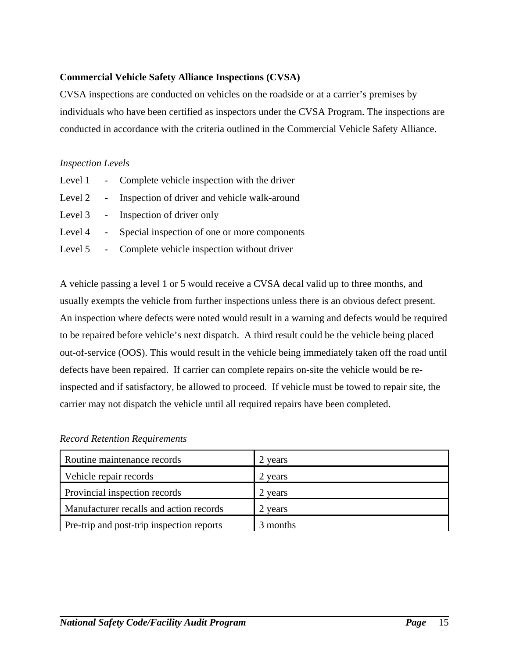#### **Commercial Vehicle Safety Alliance Inspections (CVSA)**

CVSA inspections are conducted on vehicles on the roadside or at a carrier's premises by individuals who have been certified as inspectors under the CVSA Program. The inspections are conducted in accordance with the criteria outlined in the Commercial Vehicle Safety Alliance.

#### *Inspection Levels*

|  | Level 1 - Complete vehicle inspection with the driver  |
|--|--------------------------------------------------------|
|  | Level 2 - Inspection of driver and vehicle walk-around |
|  | Level 3 - Inspection of driver only                    |
|  | Level 4 - Special inspection of one or more components |
|  | Level 5 - Complete vehicle inspection without driver   |

A vehicle passing a level 1 or 5 would receive a CVSA decal valid up to three months, and usually exempts the vehicle from further inspections unless there is an obvious defect present. An inspection where defects were noted would result in a warning and defects would be required to be repaired before vehicle's next dispatch. A third result could be the vehicle being placed out-of-service (OOS). This would result in the vehicle being immediately taken off the road until defects have been repaired. If carrier can complete repairs on-site the vehicle would be reinspected and if satisfactory, be allowed to proceed. If vehicle must be towed to repair site, the carrier may not dispatch the vehicle until all required repairs have been completed.

#### *Record Retention Requirements*

| Routine maintenance records               | 2 years  |
|-------------------------------------------|----------|
| Vehicle repair records                    | 2 years  |
| Provincial inspection records             | 2 years  |
| Manufacturer recalls and action records   | 2 years  |
| Pre-trip and post-trip inspection reports | 3 months |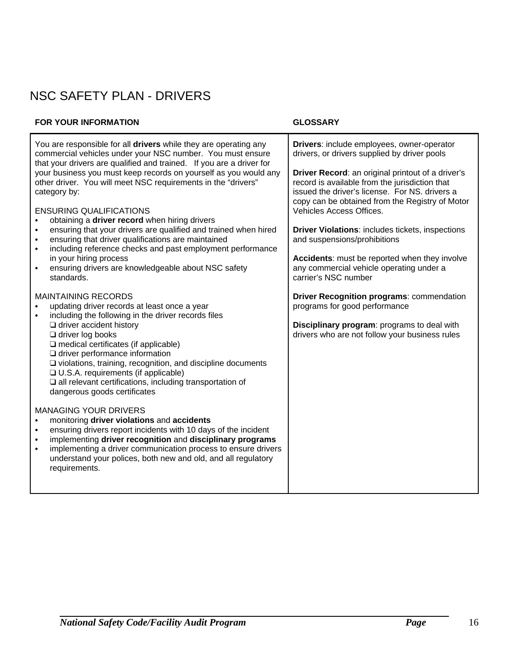## NSC SAFETY PLAN - DRIVERS

#### **FOR YOUR INFORMATION GLOSSARY**

| You are responsible for all drivers while they are operating any<br>commercial vehicles under your NSC number. You must ensure<br>that your drivers are qualified and trained. If you are a driver for<br>your business you must keep records on yourself as you would any<br>other driver. You will meet NSC requirements in the "drivers"<br>category by:<br><b>ENSURING QUALIFICATIONS</b><br>obtaining a driver record when hiring drivers<br>$\bullet$<br>ensuring that your drivers are qualified and trained when hired<br>$\bullet$<br>ensuring that driver qualifications are maintained<br>$\bullet$<br>including reference checks and past employment performance<br>$\bullet$<br>in your hiring process<br>ensuring drivers are knowledgeable about NSC safety<br>$\bullet$<br>standards.                                                                                                                                                 | Drivers: include employees, owner-operator<br>drivers, or drivers supplied by driver pools<br>Driver Record: an original printout of a driver's<br>record is available from the jurisdiction that<br>issued the driver's license. For NS. drivers a<br>copy can be obtained from the Registry of Motor<br>Vehicles Access Offices.<br>Driver Violations: includes tickets, inspections<br>and suspensions/prohibitions<br>Accidents: must be reported when they involve<br>any commercial vehicle operating under a<br>carrier's NSC number |
|-------------------------------------------------------------------------------------------------------------------------------------------------------------------------------------------------------------------------------------------------------------------------------------------------------------------------------------------------------------------------------------------------------------------------------------------------------------------------------------------------------------------------------------------------------------------------------------------------------------------------------------------------------------------------------------------------------------------------------------------------------------------------------------------------------------------------------------------------------------------------------------------------------------------------------------------------------|---------------------------------------------------------------------------------------------------------------------------------------------------------------------------------------------------------------------------------------------------------------------------------------------------------------------------------------------------------------------------------------------------------------------------------------------------------------------------------------------------------------------------------------------|
| <b>MAINTAINING RECORDS</b><br>updating driver records at least once a year<br>including the following in the driver records files<br>$\bullet$<br>$\Box$ driver accident history<br>$\Box$ driver log books<br>$\square$ medical certificates (if applicable)<br>$\square$ driver performance information<br>$\square$ violations, training, recognition, and discipline documents<br>□ U.S.A. requirements (if applicable)<br>$\square$ all relevant certifications, including transportation of<br>dangerous goods certificates<br><b>MANAGING YOUR DRIVERS</b><br>monitoring driver violations and accidents<br>$\bullet$<br>ensuring drivers report incidents with 10 days of the incident<br>$\bullet$<br>implementing driver recognition and disciplinary programs<br>$\bullet$<br>implementing a driver communication process to ensure drivers<br>$\bullet$<br>understand your polices, both new and old, and all regulatory<br>requirements. | Driver Recognition programs: commendation<br>programs for good performance<br>Disciplinary program: programs to deal with<br>drivers who are not follow your business rules                                                                                                                                                                                                                                                                                                                                                                 |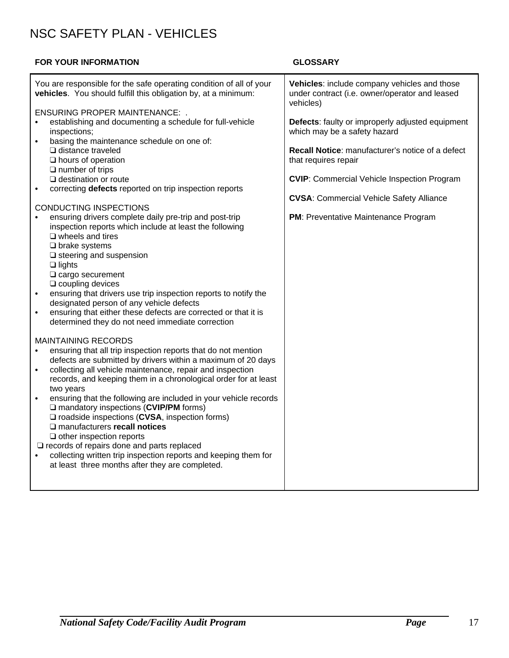### NSC SAFETY PLAN - VEHICLES

#### **FOR YOUR INFORMATION GLOSSARY**

| You are responsible for the safe operating condition of all of your<br>vehicles. You should fulfill this obligation by, at a minimum:                                                                                                                                                                                                                                                                                                                                                                                                                                                                                                                                                                                                                                                                                                                                                                                                                                                                                                                       | Vehicles: include company vehicles and those<br>under contract (i.e. owner/operator and leased<br>vehicles)                                                                                                                                                                                                          |
|-------------------------------------------------------------------------------------------------------------------------------------------------------------------------------------------------------------------------------------------------------------------------------------------------------------------------------------------------------------------------------------------------------------------------------------------------------------------------------------------------------------------------------------------------------------------------------------------------------------------------------------------------------------------------------------------------------------------------------------------------------------------------------------------------------------------------------------------------------------------------------------------------------------------------------------------------------------------------------------------------------------------------------------------------------------|----------------------------------------------------------------------------------------------------------------------------------------------------------------------------------------------------------------------------------------------------------------------------------------------------------------------|
| <b>ENSURING PROPER MAINTENANCE: .</b><br>establishing and documenting a schedule for full-vehicle<br>$\bullet$<br>inspections;<br>basing the maintenance schedule on one of:<br>$\Box$ distance traveled<br>$\Box$ hours of operation<br>$\Box$ number of trips<br>$\Box$ destination or route<br>correcting defects reported on trip inspection reports<br><b>CONDUCTING INSPECTIONS</b><br>ensuring drivers complete daily pre-trip and post-trip<br>$\bullet$<br>inspection reports which include at least the following<br>$\square$ wheels and tires<br>$\Box$ brake systems<br>$\square$ steering and suspension<br>$\Box$ lights<br>$\Box$ cargo securement<br>$\Box$ coupling devices<br>ensuring that drivers use trip inspection reports to notify the<br>designated person of any vehicle defects<br>ensuring that either these defects are corrected or that it is<br>$\bullet$<br>determined they do not need immediate correction<br><b>MAINTAINING RECORDS</b><br>ensuring that all trip inspection reports that do not mention<br>$\bullet$ | Defects: faulty or improperly adjusted equipment<br>which may be a safety hazard<br>Recall Notice: manufacturer's notice of a defect<br>that requires repair<br><b>CVIP:</b> Commercial Vehicle Inspection Program<br><b>CVSA: Commercial Vehicle Safety Alliance</b><br><b>PM: Preventative Maintenance Program</b> |
| defects are submitted by drivers within a maximum of 20 days<br>collecting all vehicle maintenance, repair and inspection<br>$\bullet$<br>records, and keeping them in a chronological order for at least<br>two years                                                                                                                                                                                                                                                                                                                                                                                                                                                                                                                                                                                                                                                                                                                                                                                                                                      |                                                                                                                                                                                                                                                                                                                      |
| ensuring that the following are included in your vehicle records<br>$\bullet$<br>$\square$ mandatory inspections (CVIP/PM forms)<br>$\square$ roadside inspections (CVSA, inspection forms)<br>□ manufacturers recall notices<br>$\Box$ other inspection reports<br>$\square$ records of repairs done and parts replaced                                                                                                                                                                                                                                                                                                                                                                                                                                                                                                                                                                                                                                                                                                                                    |                                                                                                                                                                                                                                                                                                                      |
| collecting written trip inspection reports and keeping them for<br>at least three months after they are completed.                                                                                                                                                                                                                                                                                                                                                                                                                                                                                                                                                                                                                                                                                                                                                                                                                                                                                                                                          |                                                                                                                                                                                                                                                                                                                      |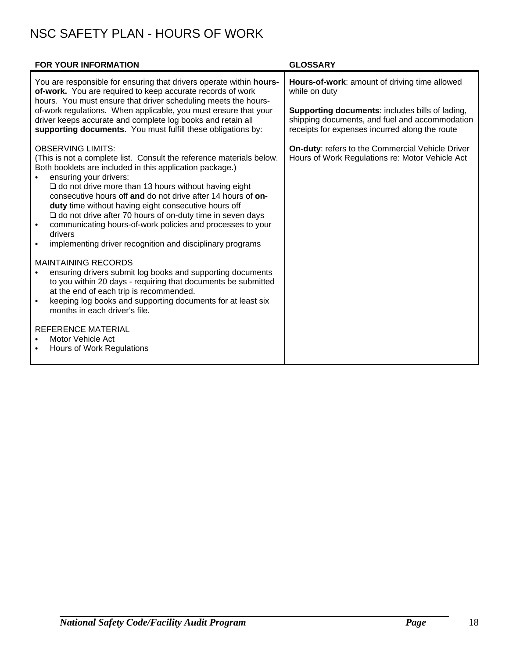## NSC SAFETY PLAN - HOURS OF WORK

| FOR YOUR INFORMATION                                                                                                                                                                                                                                                                                                                                                                                                                                                                                                                                                                                                                                                                                                                                                                                                                                                                                                                                                                           | <b>GLOSSARY</b>                                                                                                                                                                                                       |
|------------------------------------------------------------------------------------------------------------------------------------------------------------------------------------------------------------------------------------------------------------------------------------------------------------------------------------------------------------------------------------------------------------------------------------------------------------------------------------------------------------------------------------------------------------------------------------------------------------------------------------------------------------------------------------------------------------------------------------------------------------------------------------------------------------------------------------------------------------------------------------------------------------------------------------------------------------------------------------------------|-----------------------------------------------------------------------------------------------------------------------------------------------------------------------------------------------------------------------|
| You are responsible for ensuring that drivers operate within hours-<br>of-work. You are required to keep accurate records of work<br>hours. You must ensure that driver scheduling meets the hours-<br>of-work regulations. When applicable, you must ensure that your<br>driver keeps accurate and complete log books and retain all<br>supporting documents. You must fulfill these obligations by:                                                                                                                                                                                                                                                                                                                                                                                                                                                                                                                                                                                          | Hours-of-work: amount of driving time allowed<br>while on duty<br>Supporting documents: includes bills of lading,<br>shipping documents, and fuel and accommodation<br>receipts for expenses incurred along the route |
| <b>OBSERVING LIMITS:</b><br>(This is not a complete list. Consult the reference materials below.<br>Both booklets are included in this application package.)<br>ensuring your drivers:<br>$\square$ do not drive more than 13 hours without having eight<br>consecutive hours off and do not drive after 14 hours of on-<br>duty time without having eight consecutive hours off<br>$\Box$ do not drive after 70 hours of on-duty time in seven days<br>communicating hours-of-work policies and processes to your<br>drivers<br>implementing driver recognition and disciplinary programs<br>$\bullet$<br><b>MAINTAINING RECORDS</b><br>ensuring drivers submit log books and supporting documents<br>to you within 20 days - requiring that documents be submitted<br>at the end of each trip is recommended.<br>keeping log books and supporting documents for at least six<br>months in each driver's file.<br><b>REFERENCE MATERIAL</b><br>Motor Vehicle Act<br>Hours of Work Regulations | On-duty: refers to the Commercial Vehicle Driver<br>Hours of Work Regulations re: Motor Vehicle Act                                                                                                                   |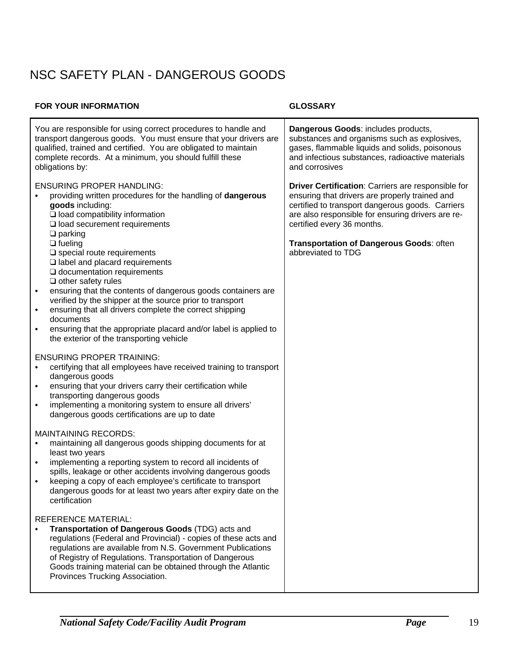## NSC SAFETY PLAN - DANGEROUS GOODS

#### **FOR YOUR INFORMATION GLOSSARY**

| You are responsible for using correct procedures to handle and<br>transport dangerous goods. You must ensure that your drivers are<br>qualified, trained and certified. You are obligated to maintain<br>complete records. At a minimum, you should fulfill these<br>obligations by:                                                                                                                                                                                      | Dangerous Goods: includes products,<br>substances and organisms such as explosives,<br>gases, flammable liquids and solids, poisonous<br>and infectious substances, radioactive materials<br>and corrosives                                 |
|---------------------------------------------------------------------------------------------------------------------------------------------------------------------------------------------------------------------------------------------------------------------------------------------------------------------------------------------------------------------------------------------------------------------------------------------------------------------------|---------------------------------------------------------------------------------------------------------------------------------------------------------------------------------------------------------------------------------------------|
| <b>ENSURING PROPER HANDLING:</b><br>providing written procedures for the handling of dangerous<br>goods including:<br>$\Box$ load compatibility information<br>$\square$ load securement requirements<br>$\Box$ parking                                                                                                                                                                                                                                                   | Driver Certification: Carriers are responsible for<br>ensuring that drivers are properly trained and<br>certified to transport dangerous goods. Carriers<br>are also responsible for ensuring drivers are re-<br>certified every 36 months. |
| $\Box$ fueling<br>$\square$ special route requirements<br>$\square$ label and placard requirements<br>$\square$ documentation requirements<br>$\Box$ other safety rules<br>ensuring that the contents of dangerous goods containers are<br>$\bullet$<br>verified by the shipper at the source prior to transport<br>ensuring that all drivers complete the correct shipping<br>$\bullet$<br>documents<br>ensuring that the appropriate placard and/or label is applied to | Transportation of Dangerous Goods: often<br>abbreviated to TDG                                                                                                                                                                              |
| the exterior of the transporting vehicle<br><b>ENSURING PROPER TRAINING:</b><br>certifying that all employees have received training to transport<br>dangerous goods<br>ensuring that your drivers carry their certification while<br>transporting dangerous goods<br>implementing a monitoring system to ensure all drivers'<br>$\bullet$<br>dangerous goods certifications are up to date                                                                               |                                                                                                                                                                                                                                             |
| <b>MAINTAINING RECORDS:</b><br>maintaining all dangerous goods shipping documents for at<br>$\bullet$<br>least two years<br>implementing a reporting system to record all incidents of<br>$\bullet$<br>spills, leakage or other accidents involving dangerous goods<br>keeping a copy of each employee's certificate to transport<br>dangerous goods for at least two years after expiry date on the<br>certification                                                     |                                                                                                                                                                                                                                             |
| <b>REFERENCE MATERIAL:</b><br>Transportation of Dangerous Goods (TDG) acts and<br>regulations (Federal and Provincial) - copies of these acts and<br>regulations are available from N.S. Government Publications<br>of Registry of Regulations. Transportation of Dangerous<br>Goods training material can be obtained through the Atlantic<br>Provinces Trucking Association.                                                                                            |                                                                                                                                                                                                                                             |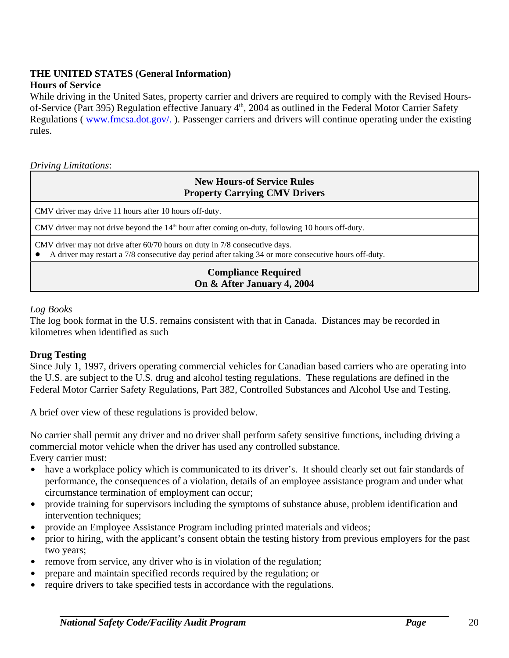### **THE UNITED STATES (General Information)**

#### **Hours of Service**

While driving in the United Sates, property carrier and drivers are required to comply with the Revised Hoursof-Service (Part 395) Regulation effective January 4<sup>th</sup>, 2004 as outlined in the Federal Motor Carrier Safety Regulations ( www.fmcsa.dot.gov/. ). Passenger carriers and drivers will continue operating under the existing rules.

*Driving Limitations*:

#### **New Hours-of Service Rules Property Carrying CMV Drivers**

CMV driver may drive 11 hours after 10 hours off-duty.

CMV driver may not drive beyond the 14<sup>th</sup> hour after coming on-duty, following 10 hours off-duty.

CMV driver may not drive after 60/70 hours on duty in 7/8 consecutive days.

! A driver may restart a 7/8 consecutive day period after taking 34 or more consecutive hours off-duty.

#### **Compliance Required On & After January 4, 2004**

#### *Log Books*

The log book format in the U.S. remains consistent with that in Canada. Distances may be recorded in kilometres when identified as such

#### **Drug Testing**

Since July 1, 1997, drivers operating commercial vehicles for Canadian based carriers who are operating into the U.S. are subject to the U.S. drug and alcohol testing regulations. These regulations are defined in the Federal Motor Carrier Safety Regulations, Part 382, Controlled Substances and Alcohol Use and Testing.

A brief over view of these regulations is provided below.

No carrier shall permit any driver and no driver shall perform safety sensitive functions, including driving a commercial motor vehicle when the driver has used any controlled substance. Every carrier must:

- have a workplace policy which is communicated to its driver's. It should clearly set out fair standards of performance, the consequences of a violation, details of an employee assistance program and under what circumstance termination of employment can occur;
- provide training for supervisors including the symptoms of substance abuse, problem identification and intervention techniques;
- provide an Employee Assistance Program including printed materials and videos;
- prior to hiring, with the applicant's consent obtain the testing history from previous employers for the past two years;
- remove from service, any driver who is in violation of the regulation;
- prepare and maintain specified records required by the regulation; or
- require drivers to take specified tests in accordance with the regulations.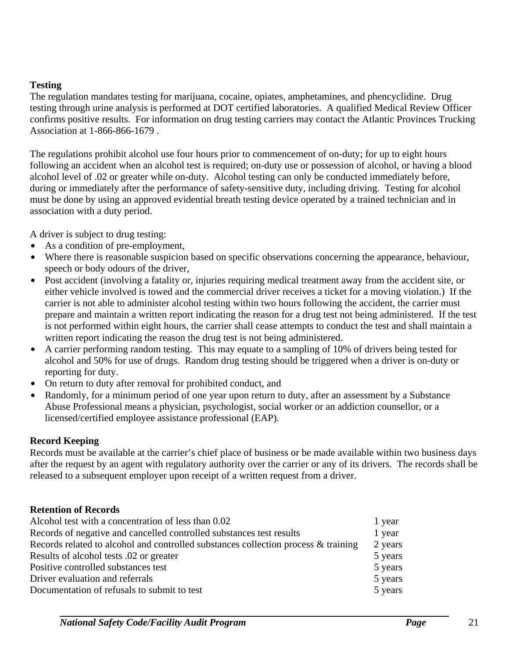#### **Testing**

The regulation mandates testing for marijuana, cocaine, opiates, amphetamines, and phencyclidine. Drug testing through urine analysis is performed at DOT certified laboratories. A qualified Medical Review Officer confirms positive results. For information on drug testing carriers may contact the Atlantic Provinces Trucking Association at 1-866-866-1679 .

The regulations prohibit alcohol use four hours prior to commencement of on-duty; for up to eight hours following an accident when an alcohol test is required; on-duty use or possession of alcohol, or having a blood alcohol level of .02 or greater while on-duty. Alcohol testing can only be conducted immediately before, during or immediately after the performance of safety-sensitive duty, including driving. Testing for alcohol must be done by using an approved evidential breath testing device operated by a trained technician and in association with a duty period.

A driver is subject to drug testing:

- As a condition of pre-employment,
- Where there is reasonable suspicion based on specific observations concerning the appearance, behaviour, speech or body odours of the driver,
- Post accident (involving a fatality or, injuries requiring medical treatment away from the accident site, or either vehicle involved is towed and the commercial driver receives a ticket for a moving violation.) If the carrier is not able to administer alcohol testing within two hours following the accident, the carrier must prepare and maintain a written report indicating the reason for a drug test not being administered. If the test is not performed within eight hours, the carrier shall cease attempts to conduct the test and shall maintain a written report indicating the reason the drug test is not being administered.
- A carrier performing random testing. This may equate to a sampling of 10% of drivers being tested for alcohol and 50% for use of drugs. Random drug testing should be triggered when a driver is on-duty or reporting for duty.
- On return to duty after removal for prohibited conduct, and
- Randomly, for a minimum period of one year upon return to duty, after an assessment by a Substance Abuse Professional means a physician, psychologist, social worker or an addiction counsellor, or a licensed/certified employee assistance professional (EAP).

#### **Record Keeping**

Records must be available at the carrier's chief place of business or be made available within two business days after the request by an agent with regulatory authority over the carrier or any of its drivers. The records shall be released to a subsequent employer upon receipt of a written request from a driver.

#### **Retention of Records**

| Alcohol test with a concentration of less than 0.02                                | 1 year  |
|------------------------------------------------------------------------------------|---------|
| Records of negative and cancelled controlled substances test results               | 1 year  |
| Records related to alcohol and controlled substances collection process & training | 2 years |
| Results of alcohol tests 0.02 or greater                                           | 5 years |
| Positive controlled substances test                                                | 5 years |
| Driver evaluation and referrals                                                    | 5 years |
| Documentation of refusals to submit to test                                        | 5 years |